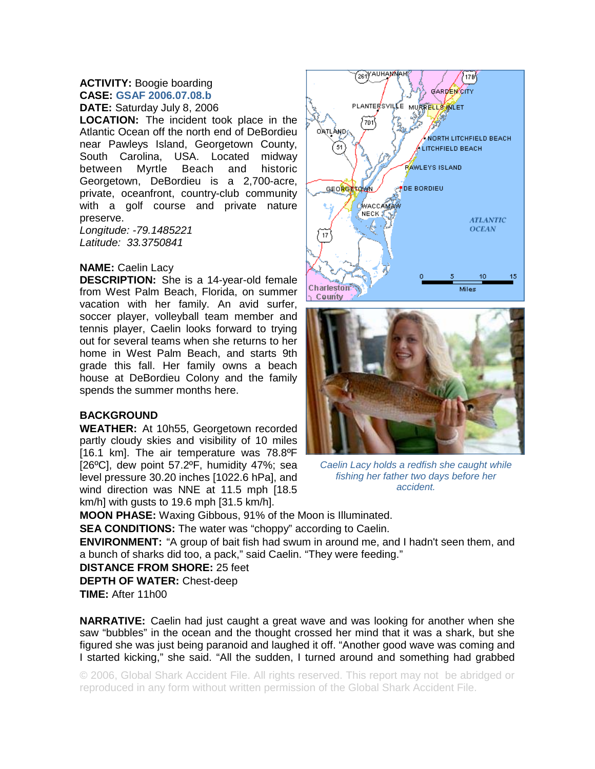## **ACTIVITY:** Boogie boarding **CASE: GSAF 2006.07.08.b**

**DATE:** Saturday July 8, 2006

**LOCATION:** The incident took place in the Atlantic Ocean off the north end of DeBordieu near Pawleys Island, Georgetown County, South Carolina, USA. Located midway between Myrtle Beach and historic Georgetown, DeBordieu is a 2,700-acre, private, oceanfront, country-club community with a golf course and private nature preserve. *Longitude: -79.1485221* 

*Latitude: 33.3750841* 

## **NAME:** Caelin Lacy

**DESCRIPTION:** She is a 14-year-old female from West Palm Beach, Florida, on summer vacation with her family. An avid surfer, soccer player, volleyball team member and tennis player, Caelin looks forward to trying out for several teams when she returns to her home in West Palm Beach, and starts 9th grade this fall. Her family owns a beach house at DeBordieu Colony and the family spends the summer months here.

## **BACKGROUND**

**WEATHER:** At 10h55, Georgetown recorded partly cloudy skies and visibility of 10 miles [16.1 km]. The air temperature was 78.8ºF [26ºC], dew point 57.2ºF, humidity 47%; sea level pressure 30.20 inches [1022.6 hPa], and wind direction was NNE at 11.5 mph [18.5 km/h] with gusts to 19.6 mph [31.5 km/h].





*Caelin Lacy holds a redfish she caught while fishing her father two days before her accident.* 

**MOON PHASE:** Waxing Gibbous, 91% of the Moon is Illuminated.

**SEA CONDITIONS:** The water was "choppy" according to Caelin.

**ENVIRONMENT:** "A group of bait fish had swum in around me, and I hadn't seen them, and a bunch of sharks did too, a pack," said Caelin. "They were feeding."

**DISTANCE FROM SHORE:** 25 feet **DEPTH OF WATER:** Chest-deep **TIME:** After 11h00

**NARRATIVE:** Caelin had just caught a great wave and was looking for another when she saw "bubbles" in the ocean and the thought crossed her mind that it was a shark, but she figured she was just being paranoid and laughed it off. "Another good wave was coming and I started kicking," she said. "All the sudden, I turned around and something had grabbed

© 2006, Global Shark Accident File. All rights reserved. This report may not be abridged or reproduced in any form without written permission of the Global Shark Accident File.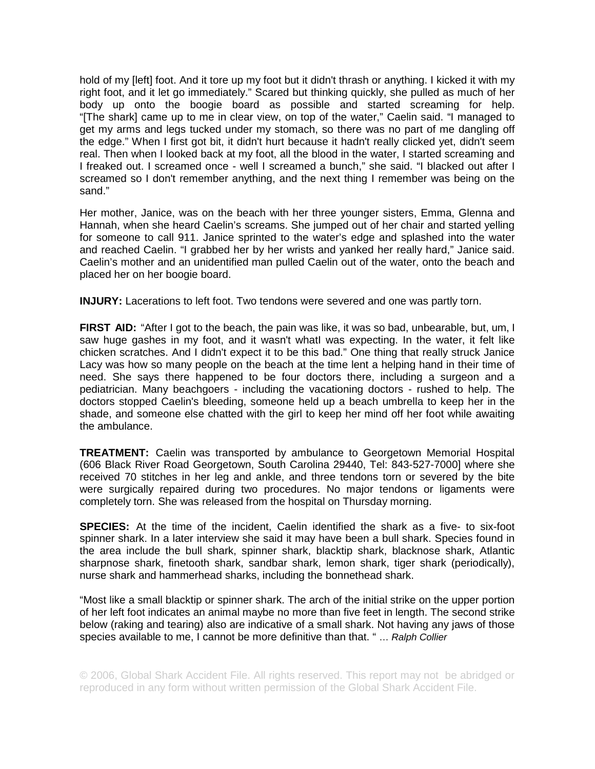hold of my [left] foot. And it tore up my foot but it didn't thrash or anything. I kicked it with my right foot, and it let go immediately." Scared but thinking quickly, she pulled as much of her body up onto the boogie board as possible and started screaming for help. "[The shark] came up to me in clear view, on top of the water," Caelin said. "I managed to get my arms and legs tucked under my stomach, so there was no part of me dangling off the edge." When I first got bit, it didn't hurt because it hadn't really clicked yet, didn't seem real. Then when I looked back at my foot, all the blood in the water, I started screaming and I freaked out. I screamed once - well I screamed a bunch," she said. "I blacked out after I screamed so I don't remember anything, and the next thing I remember was being on the sand."

Her mother, Janice, was on the beach with her three younger sisters, Emma, Glenna and Hannah, when she heard Caelin's screams. She jumped out of her chair and started yelling for someone to call 911. Janice sprinted to the water's edge and splashed into the water and reached Caelin. "I grabbed her by her wrists and yanked her really hard," Janice said. Caelin's mother and an unidentified man pulled Caelin out of the water, onto the beach and placed her on her boogie board.

**INJURY:** Lacerations to left foot. Two tendons were severed and one was partly torn.

**FIRST AID:** "After I got to the beach, the pain was like, it was so bad, unbearable, but, um, I saw huge gashes in my foot, and it wasn't whatI was expecting. In the water, it felt like chicken scratches. And I didn't expect it to be this bad." One thing that really struck Janice Lacy was how so many people on the beach at the time lent a helping hand in their time of need. She says there happened to be four doctors there, including a surgeon and a pediatrician. Many beachgoers - including the vacationing doctors - rushed to help. The doctors stopped Caelin's bleeding, someone held up a beach umbrella to keep her in the shade, and someone else chatted with the girl to keep her mind off her foot while awaiting the ambulance.

**TREATMENT:** Caelin was transported by ambulance to Georgetown Memorial Hospital (606 Black River Road Georgetown, South Carolina 29440, Tel: 843-527-7000] where she received 70 stitches in her leg and ankle, and three tendons torn or severed by the bite were surgically repaired during two procedures. No major tendons or ligaments were completely torn. She was released from the hospital on Thursday morning.

**SPECIES:** At the time of the incident, Caelin identified the shark as a five- to six-foot spinner shark. In a later interview she said it may have been a bull shark. Species found in the area include the bull shark, spinner shark, blacktip shark, blacknose shark, Atlantic sharpnose shark, finetooth shark, sandbar shark, lemon shark, tiger shark (periodically), nurse shark and hammerhead sharks, including the bonnethead shark.

"Most like a small blacktip or spinner shark. The arch of the initial strike on the upper portion of her left foot indicates an animal maybe no more than five feet in length. The second strike below (raking and tearing) also are indicative of a small shark. Not having any jaws of those species available to me, I cannot be more definitive than that. " … *Ralph Collier*

© 2006, Global Shark Accident File. All rights reserved. This report may not be abridged or reproduced in any form without written permission of the Global Shark Accident File.